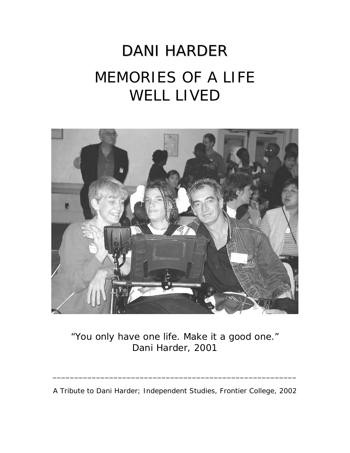# DANI HARDER MEMORIES OF A LIFE WELL LIVED



"You only have one life. Make it a good one." *Dani Harder, 2001* 

A Tribute to Dani Harder; Independent Studies, Frontier College, 2002

\_\_\_\_\_\_\_\_\_\_\_\_\_\_\_\_\_\_\_\_\_\_\_\_\_\_\_\_\_\_\_\_\_\_\_\_\_\_\_\_\_\_\_\_\_\_\_\_\_\_\_\_\_\_\_\_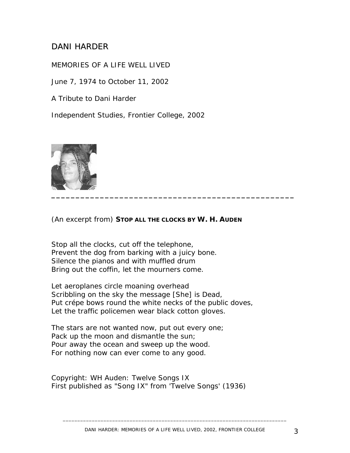# DANI HARDER

MEMORIES OF A LIFE WELL LIVED

June 7, 1974 to October 11, 2002

A Tribute to Dani Harder

Independent Studies, Frontier College, 2002



(An excerpt from) **STOP ALL THE CLOCKS BY W. H. AUDEN**

*Stop all the clocks, cut off the telephone, Prevent the dog from barking with a juicy bone. Silence the pianos and with muffled drum Bring out the coffin, let the mourners come.* 

*Let aeroplanes circle moaning overhead Scribbling on the sky the message [She] is Dead, Put crépe bows round the white necks of the public doves, Let the traffic policemen wear black cotton gloves.* 

*The stars are not wanted now, put out every one; Pack up the moon and dismantle the sun; Pour away the ocean and sweep up the wood. For nothing now can ever come to any good.*

Copyright: WH Auden: Twelve Songs IX First published as "Song IX" from 'Twelve Songs' (1936)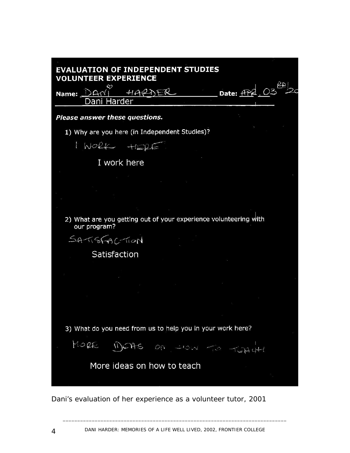| <b>EVALUATION OF INDEPENDENT STUDIES</b><br><b>VOLUNTEER EXPERIENCE</b>          |
|----------------------------------------------------------------------------------|
| Date: APA<br>HARDER<br>$\Delta$ N<br>Name:<br>Harder<br>)ani                     |
| Please answer these questions.                                                   |
| 1) Why are you here (in Independent Studies)?                                    |
| INORK HERE                                                                       |
| I work here                                                                      |
|                                                                                  |
|                                                                                  |
|                                                                                  |
| 2) What are you getting out of your experience volunteering with<br>our program? |
| SATISFACTION                                                                     |
| Satisfaction                                                                     |
|                                                                                  |
|                                                                                  |
|                                                                                  |
|                                                                                  |
| 3) What do you need from us to help you in your work here?                       |
| MORE DEAS ON YOU TO TEACH                                                        |
| More ideas on how to teach                                                       |
|                                                                                  |

*Dani's evaluation of her experience as a volunteer tutor, 2001*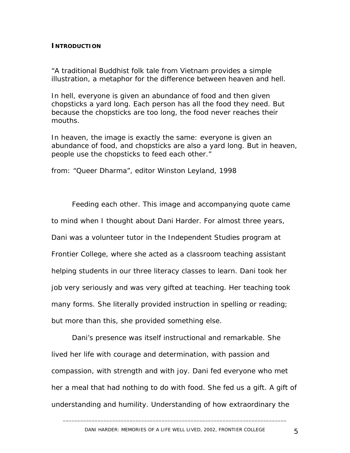#### **INTRODUCTION**

*"A traditional Buddhist folk tale from Vietnam provides a simple illustration, a metaphor for the difference between heaven and hell.* 

*In hell, everyone is given an abundance of food and then given chopsticks a yard long. Each person has all the food they need. But because the chopsticks are too long, the food never reaches their mouths.* 

*In heaven, the image is exactly the same: everyone is given an abundance of food, and chopsticks are also a yard long. But in heaven, people use the chopsticks to feed each other."* 

*from: "Queer Dharma", editor Winston Leyland, 1998*

Feeding each other. This image and accompanying quote came to mind when I thought about Dani Harder. For almost three years, Dani was a volunteer tutor in the Independent Studies program at Frontier College, where she acted as a classroom teaching assistant helping students in our three literacy classes to learn. Dani took her job very seriously and was very gifted at teaching. Her teaching took many forms. She literally provided instruction in spelling or reading; but more than this, she provided something else.

Dani's presence was itself instructional and remarkable. She lived her life with courage and determination, with passion and compassion, with strength and with joy. Dani fed everyone who met her a meal that had nothing to do with food. She fed us a gift. A gift of understanding and humility. Understanding of how extraordinary the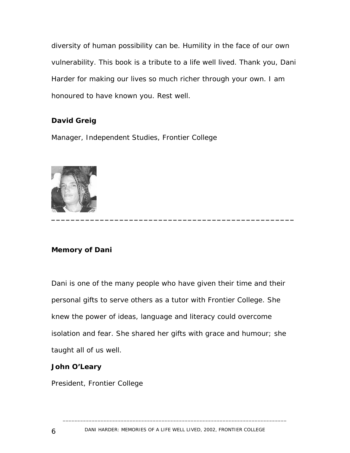diversity of human possibility can be. Humility in the face of our own vulnerability. This book is a tribute to a life well lived. Thank you, Dani Harder for making our lives so much richer through your own. I am honoured to have known you. Rest well.

#### **David Greig**

Manager, Independent Studies, Frontier College



#### **Memory of Dani**

Dani is one of the many people who have given their time and their personal gifts to serve others as a tutor with Frontier College. She knew the power of ideas, language and literacy could overcome isolation and fear. She shared her gifts with grace and humour; she taught all of us well.

#### **John O'Leary**

President, Frontier College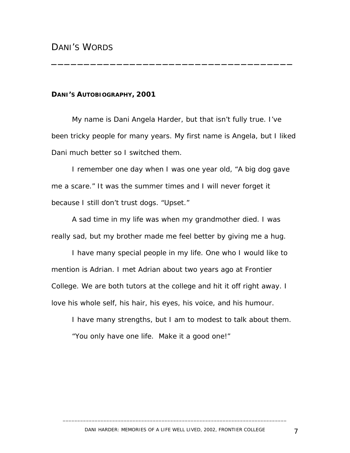#### **DANI'S AUTOBIOGRAPHY, 2001**

 My name is Dani Angela Harder, but that isn't fully true. I've been tricky people for many years. My first name is Angela, but I liked Dani much better so I switched them.

\_\_\_\_\_\_\_\_\_\_\_\_\_\_\_\_\_\_\_\_\_\_\_\_\_\_\_\_\_\_\_\_\_\_\_\_\_

I remember one day when I was one year old, "A big dog gave me a scare." It was the summer times and I will never forget it because I still don't trust dogs. "Upset."

A sad time in my life was when my grandmother died. I was really sad, but my brother made me feel better by giving me a hug.

I have many special people in my life. One who I would like to mention is Adrian. I met Adrian about two years ago at Frontier College. We are both tutors at the college and hit it off right away. I love his whole self, his hair, his eyes, his voice, and his humour.

I have many strengths, but I am to modest to talk about them. "You only have one life. Make it a good one!"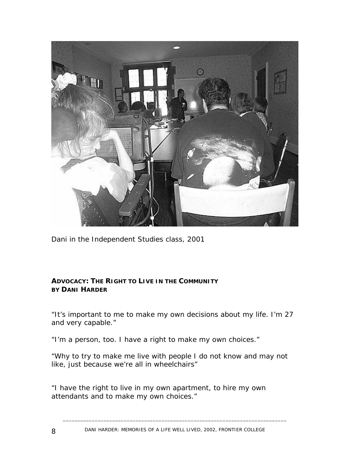

*Dani in the Independent Studies class, 2001*

#### **ADVOCACY: THE RIGHT TO LIVE IN THE COMMUNITY BY DANI HARDER**

"It's important to me to make my own decisions about my life. I'm 27 and very capable."

"I'm a person, too. I have a right to make my own choices."

"Why to try to make me live with people I do not know and may not like, just because we're all in wheelchairs"

"I have the right to live in my own apartment, to hire my own attendants and to make my own choices."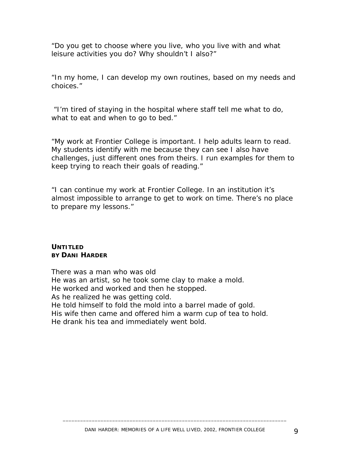"Do you get to choose where you live, who you live with and what leisure activities you do? Why shouldn't I also?"

"In my home, I can develop my own routines, based on my needs and choices."

 "I'm tired of staying in the hospital where staff tell me what to do, what to eat and when to go to bed."

"My work at Frontier College is important. I help adults learn to read. My students identify with me because they can see I also have challenges, just different ones from theirs. I run examples for them to keep trying to reach their goals of reading."

"I can continue my work at Frontier College. In an institution it's almost impossible to arrange to get to work on time. There's no place to prepare my lessons."

#### **UNTITLED BY DANI HARDER**

There was a man who was old He was an artist, so he took some clay to make a mold. He worked and worked and then he stopped. As he realized he was getting cold. He told himself to fold the mold into a barrel made of gold. His wife then came and offered him a warm cup of tea to hold. He drank his tea and immediately went bold.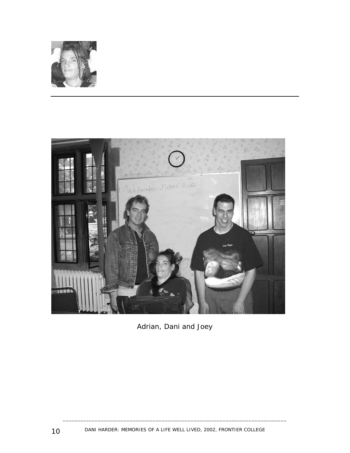



*Adrian, Dani and Joey*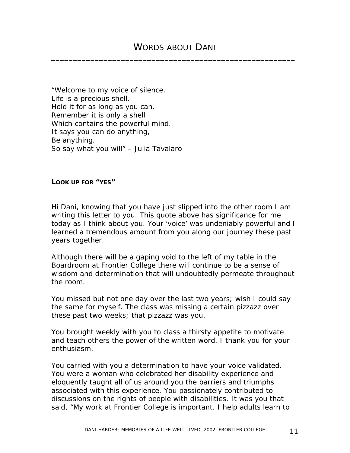*"Welcome to my voice of silence. Life is a precious shell. Hold it for as long as you can. Remember it is only a shell Which contains the powerful mind. It says you can do anything, Be anything. So say what you will" – Julia Tavalaro* 

#### **LOOK UP FOR "YES"**

Hi Dani, knowing that you have just slipped into the other room I am writing this letter to you. This quote above has significance for me today as I think about you. Your 'voice' was undeniably powerful and I learned a tremendous amount from you along our journey these past years together.

Although there will be a gaping void to the left of my table in the Boardroom at Frontier College there will continue to be a sense of wisdom and determination that will undoubtedly permeate throughout the room.

You missed but not one day over the last two years; wish I could say the same for myself. The class was missing a certain pizzazz over these past two weeks; that pizzazz was you.

You brought weekly with you to class a thirsty appetite to motivate and teach others the power of the written word. I thank you for your enthusiasm.

You carried with you a determination to have your voice validated. You were a woman who celebrated her disability experience and eloquently taught all of us around you the barriers and triumphs associated with this experience. You passionately contributed to discussions on the rights of people with disabilities. It was you that said, "My work at Frontier College is important. I help adults learn to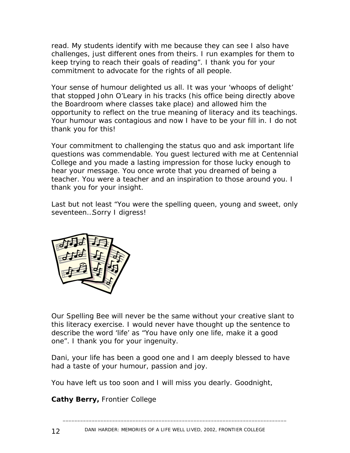read. My students identify with me because they can see I also have challenges, just different ones from theirs. I run examples for them to keep trying to reach their goals of reading". I thank you for your commitment to advocate for the rights of all people.

Your sense of humour delighted us all. It was your 'whoops of delight' that stopped John O'Leary in his tracks (his office being directly above the Boardroom where classes take place) and allowed him the opportunity to reflect on the true meaning of literacy and its teachings. Your humour was contagious and now I have to be your fill in. I do not thank you for this!

Your commitment to challenging the status quo and ask important life questions was commendable. You guest lectured with me at Centennial College and you made a lasting impression for those lucky enough to hear your message. You once wrote that you dreamed of being a teacher. You were a teacher and an inspiration to those around you. I thank you for your insight.

Last but not least "You were the spelling queen, young and sweet, only seventeen…Sorry I digress!



Our Spelling Bee will never be the same without your creative slant to this literacy exercise. I would never have thought up the sentence to describe the word 'life' as "You have only one life, make it a good one". I thank you for your ingenuity.

Dani, your life has been a good one and I am deeply blessed to have had a taste of your humour, passion and joy.

You have left us too soon and I will miss you dearly. Goodnight,

**Cathy Berry,** Frontier College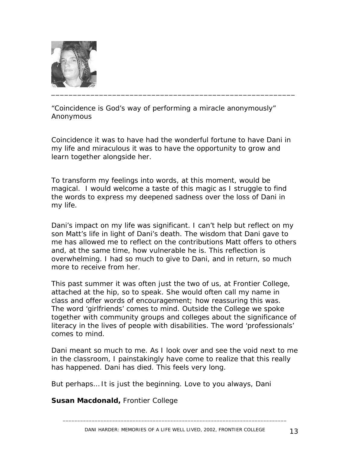

*"Coincidence is God's way of performing a miracle anonymously" Anonymous*

Coincidence it was to have had the wonderful fortune to have Dani in my life and miraculous it was to have the opportunity to grow and learn together alongside her.

To transform my feelings into words, at this moment, would be magical. I would welcome a taste of this magic as I struggle to find the words to express my deepened sadness over the loss of Dani in my life.

Dani's impact on my life was significant. I can't help but reflect on my son Matt's life in light of Dani's death. The wisdom that Dani gave to me has allowed me to reflect on the contributions Matt offers to others and, at the same time, how vulnerable he is. This reflection is overwhelming. I had so much to give to Dani, and in return, so much more to receive from her.

This past summer it was often just the two of us, at Frontier College, attached at the hip, so to speak. She would often call my name in class and offer words of encouragement; how reassuring this was. The word 'girlfriends' comes to mind. Outside the College we spoke together with community groups and colleges about the significance of literacy in the lives of people with disabilities. The word 'professionals' comes to mind.

Dani meant so much to me. As I look over and see the void next to me in the classroom, I painstakingly have come to realize that this really has happened. Dani has died. This feels very long.

But perhaps… It is just the beginning. Love to you always, Dani

**Susan Macdonald,** Frontier College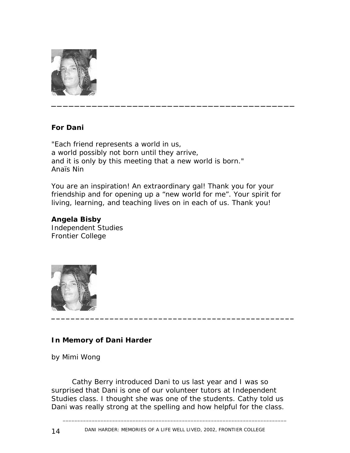

#### **For Dani**

*"Each friend represents a world in us, a world possibly not born until they arrive, and it is only by this meeting that a new world is born." Anaïs Nin*

You are an inspiration! An extraordinary gal! Thank you for your friendship and for opening up a "new world for me". Your spirit for living, learning, and teaching lives on in each of us. Thank you!

# **Angela Bisby**

Independent Studies Frontier College



#### **In Memory of Dani Harder**

by Mimi Wong

Cathy Berry introduced Dani to us last year and I was so surprised that Dani is one of our volunteer tutors at Independent Studies class. I thought she was one of the students. Cathy told us Dani was really strong at the spelling and how helpful for the class.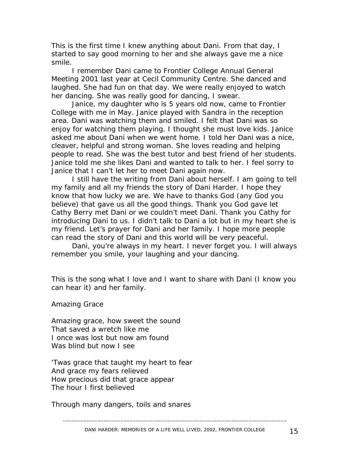This is the first time I knew anything about Dani. From that day, I started to say good morning to her and she always gave me a nice smile.

I remember Dani came to Frontier College Annual General Meeting 2001 last year at Cecil Community Centre. She danced and laughed. She had fun on that day. We were really enjoyed to watch her dancing. She was really good for dancing, I swear.

Janice, my daughter who is 5 years old now, came to Frontier College with me in May. Janice played with Sandra in the reception area. Dani was watching them and smiled. I felt that Dani was so enjoy for watching them playing. I thought she must love kids. Janice asked me about Dani when we went home. I told her Dani was a nice, cleaver, helpful and strong woman. She loves reading and helping people to read. She was the best tutor and best friend of her students. Janice told me she likes Dani and wanted to talk to her. I feel sorry to Janice that I can't let her to meet Dani again now.

I still have the writing from Dani about herself. I am going to tell my family and all my friends the story of Dani Harder. I hope they know that how lucky we are. We have to thanks God (any God you believe) that gave us all the good things. Thank you God gave let Cathy Berry met Dani or we couldn't meet Dani. Thank you Cathy for introducing Dani to us. I didn't talk to Dani a lot but in my heart she is my friend. Let's prayer for Dani and her family. I hope more people can read the story of Dani and this world will be very peaceful.

Dani, you're always in my heart. I never forget you. I will always remember you smile, your laughing and your dancing.

This is the song what I love and I want to share with Dani (I know you can hear it) and her family.

*Amazing Grace* 

*Amazing grace, how sweet the sound That saved a wretch like me I once was lost but now am found Was blind but now I see* 

*'Twas grace that taught my heart to fear And grace my fears relieved How precious did that grace appear The hour I first believed* 

*Through many dangers, toils and snares*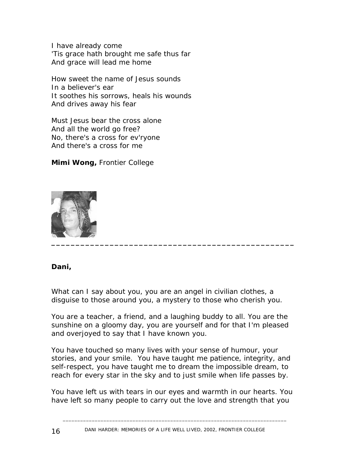*I have already come 'Tis grace hath brought me safe thus far And grace will lead me home* 

*How sweet the name of Jesus sounds In a believer's ear It soothes his sorrows, heals his wounds And drives away his fear* 

*Must Jesus bear the cross alone And all the world go free? No, there's a cross for ev'ryone And there's a cross for me* 

**Mimi Wong,** Frontier College



#### **Dani,**

What can I say about you, you are an angel in civilian clothes, a disguise to those around you, a mystery to those who cherish you.

You are a teacher, a friend, and a laughing buddy to all. You are the sunshine on a gloomy day, you are yourself and for that I'm pleased and overjoyed to say that I have known you.

You have touched so many lives with your sense of humour, your stories, and your smile. You have taught me patience, integrity, and self-respect, you have taught me to dream the impossible dream, to reach for every star in the sky and to just smile when life passes by.

You have left us with tears in our eyes and warmth in our hearts. You have left so many people to carry out the love and strength that you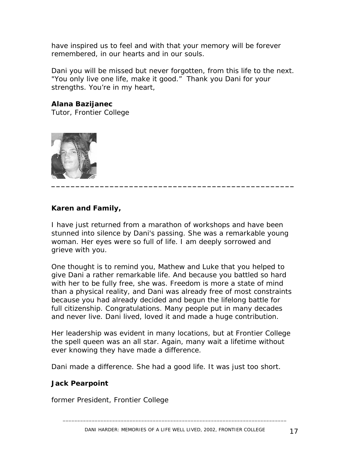have inspired us to feel and with that your memory will be forever remembered, in our hearts and in our souls.

Dani you will be missed but never forgotten, from this life to the next. "You only live one life, make it good." Thank you Dani for your strengths. You're in my heart,

**Alana Bazijanec**  Tutor, Frontier College



#### **Karen and Family,**

I have just returned from a marathon of workshops and have been stunned into silence by Dani's passing. She was a remarkable young woman. Her eyes were so full of life. I am deeply sorrowed and grieve with you.

One thought is to remind you, Mathew and Luke that you helped to give Dani a rather remarkable life. And because you battled so hard with her to be fully free, she was. Freedom is more a state of mind than a physical reality, and Dani was already free of most constraints because you had already decided and begun the lifelong battle for full citizenship. Congratulations. Many people put in many decades and never live. Dani lived, loved it and made a huge contribution.

Her leadership was evident in many locations, but at Frontier College the spell queen was an all star. Again, many wait a lifetime without ever knowing they have made a difference.

Dani made a difference. She had a good life. It was just too short.

#### **Jack Pearpoint**

former President, Frontier College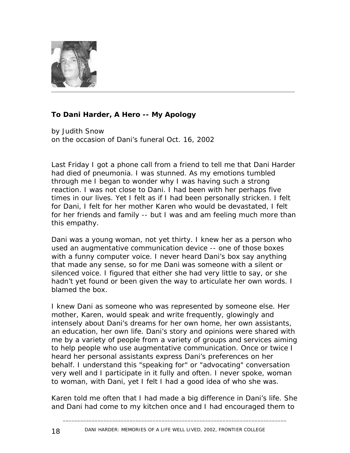

# **To Dani Harder, A Hero -- My Apology**

by Judith Snow on the occasion of Dani's funeral Oct. 16, 2002

Last Friday I got a phone call from a friend to tell me that Dani Harder had died of pneumonia. I was stunned. As my emotions tumbled through me I began to wonder why I was having such a strong reaction. I was not close to Dani. I had been with her perhaps five times in our lives. Yet I felt as if I had been personally stricken. I felt for Dani, I felt for her mother Karen who would be devastated, I felt for her friends and family -- but I was and am feeling much more than this empathy.

Dani was a young woman, not yet thirty. I knew her as a person who used an augmentative communication device -- one of those boxes with a funny computer voice. I never heard Dani's box say anything that made any sense, so for me Dani was someone with a silent or silenced voice. I figured that either she had very little to say, or she hadn't yet found or been given the way to articulate her own words. I blamed the box.

I knew Dani as someone who was represented by someone else. Her mother, Karen, would speak and write frequently, glowingly and intensely about Dani's dreams for her own home, her own assistants, an education, her own life. Dani's story and opinions were shared with me by a variety of people from a variety of groups and services aiming to help people who use augmentative communication. Once or twice I heard her personal assistants express Dani's preferences on her behalf. I understand this "speaking for" or "advocating" conversation very well and I participate in it fully and often. I never spoke, woman to woman, with Dani, yet I felt I had a good idea of who she was.

Karen told me often that I had made a big difference in Dani's life. She and Dani had come to my kitchen once and I had encouraged them to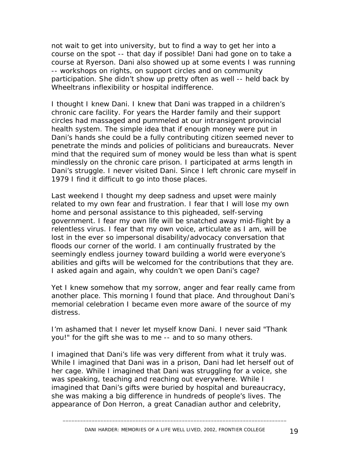not wait to get into university, but to find a way to get her into a course on the spot -- that day if possible! Dani had gone on to take a course at Ryerson. Dani also showed up at some events I was running -- workshops on rights, on support circles and on community participation. She didn't show up pretty often as well -- held back by Wheeltrans inflexibility or hospital indifference.

I thought I knew Dani. I knew that Dani was trapped in a children's chronic care facility. For years the Harder family and their support circles had massaged and pummeled at our intransigent provincial health system. The simple idea that if enough money were put in Dani's hands she could be a fully contributing citizen seemed never to penetrate the minds and policies of politicians and bureaucrats. Never mind that the required sum of money would be less than what is spent mindlessly on the chronic care prison. I participated at arms length in Dani's struggle. I never visited Dani. Since I left chronic care myself in 1979 I find it difficult to go into those places.

Last weekend I thought my deep sadness and upset were mainly related to my own fear and frustration. I fear that I will lose my own home and personal assistance to this pigheaded, self-serving government. I fear my own life will be snatched away mid-flight by a relentless virus. I fear that my own voice, articulate as I am, will be lost in the ever so impersonal disability/advocacy conversation that floods our corner of the world. I am continually frustrated by the seemingly endless journey toward building a world were everyone's abilities and gifts will be welcomed for the contributions that they are. I asked again and again, why couldn't we open Dani's cage?

Yet I knew somehow that my sorrow, anger and fear really came from another place. This morning I found that place. And throughout Dani's memorial celebration I became even more aware of the source of my distress.

I'm ashamed that I never let myself know Dani. I never said "Thank you!" for the gift she was to me -- and to so many others.

I imagined that Dani's life was very different from what it truly was. While I imagined that Dani was in a prison, Dani had let herself out of her cage. While I imagined that Dani was struggling for a voice, she was speaking, teaching and reaching out everywhere. While I imagined that Dani's gifts were buried by hospital and bureaucracy, she was making a big difference in hundreds of people's lives. The appearance of Don Herron, a great Canadian author and celebrity,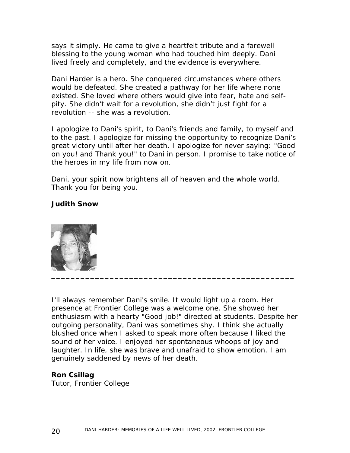says it simply. He came to give a heartfelt tribute and a farewell blessing to the young woman who had touched him deeply. Dani lived freely and completely, and the evidence is everywhere.

Dani Harder is a hero. She conquered circumstances where others would be defeated. She created a pathway for her life where none existed. She loved where others would give into fear, hate and selfpity. She didn't wait for a revolution, she didn't just fight for a revolution -- she was a revolution.

I apologize to Dani's spirit, to Dani's friends and family, to myself and to the past. I apologize for missing the opportunity to recognize Dani's great victory until after her death. I apologize for never saying: "Good on you! and Thank you!" to Dani in person. I promise to take notice of the heroes in my life from now on.

Dani, your spirit now brightens all of heaven and the whole world. Thank you for being you.

#### **Judith Snow**



I'll always remember Dani's smile. It would light up a room. Her presence at Frontier College was a welcome one. She showed her enthusiasm with a hearty "Good job!" directed at students. Despite her outgoing personality, Dani was sometimes shy. I think she actually blushed once when I asked to speak more often because I liked the sound of her voice. I enjoyed her spontaneous whoops of joy and laughter. In life, she was brave and unafraid to show emotion. I am genuinely saddened by news of her death.

#### **Ron Csillag**

Tutor, Frontier College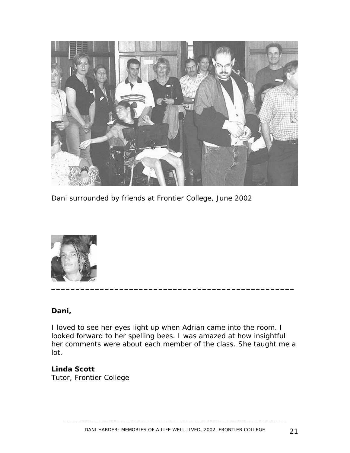

*Dani surrounded by friends at Frontier College, June 2002* 



#### **Dani,**

I loved to see her eyes light up when Adrian came into the room. I looked forward to her spelling bees. I was amazed at how insightful her comments were about each member of the class. She taught me a lot.

#### **Linda Scott**  Tutor, Frontier College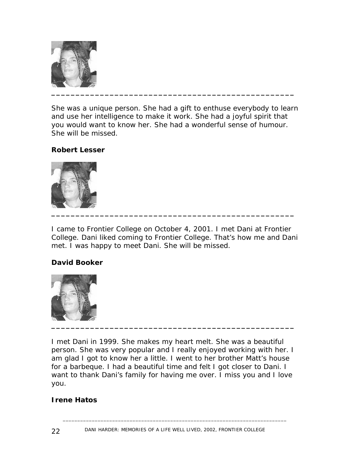

She was a unique person. She had a gift to enthuse everybody to learn and use her intelligence to make it work. She had a joyful spirit that you would want to know her. She had a wonderful sense of humour. She will be missed.

#### **Robert Lesser**



I came to Frontier College on October 4, 2001. I met Dani at Frontier College. Dani liked coming to Frontier College. That's how me and Dani met. I was happy to meet Dani. She will be missed.

#### **David Booker**



*I met Dani in 1999. She makes my heart melt. She was a beautiful person. She was very popular and I really enjoyed working with her. I am glad I got to know her a little. I went to her brother Matt's house for a barbeque. I had a beautiful time and felt I got closer to Dani. I want to thank Dani's family for having me over. I miss you and I love you.* 

#### **Irene Hatos**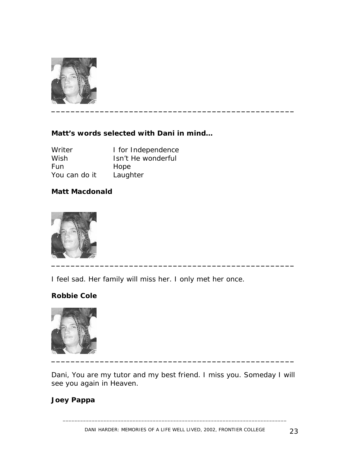

## **Matt's words selected with Dani in mind…**

| Writer        | I for Independence |
|---------------|--------------------|
| Wish          | Isn't He wonderful |
| Fun.          | Hope               |
| You can do it | Laughter           |

#### **Matt Macdonald**



I feel sad. Her family will miss her. I only met her once.

#### **Robbie Cole**



*Dani, You are my tutor and my best friend. I miss you. Someday I will see you again in Heaven.* 

#### *Joey Pappa*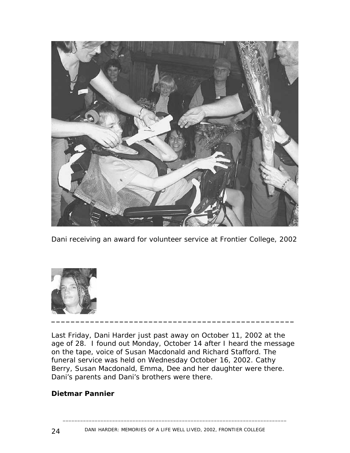

Dani receiving an award for volunteer service at Frontier College, 2002



Last Friday, Dani Harder just past away on October 11, 2002 at the age of 28. I found out Monday, October 14 after I heard the message on the tape, voice of Susan Macdonald and Richard Stafford. The funeral service was held on Wednesday October 16, 2002. Cathy Berry, Susan Macdonald, Emma, Dee and her daughter were there. Dani's parents and Dani's brothers were there.

#### **Dietmar Pannier**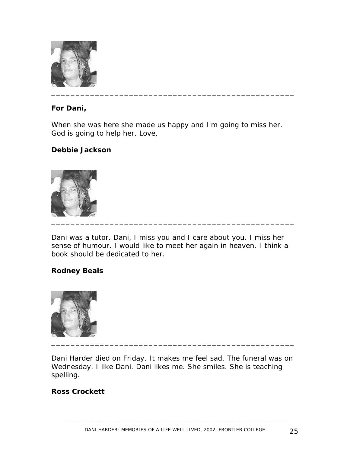

#### **For Dani,**

*When she was here she made us happy and I'm going to miss her. God is going to help her. Love,*

#### **Debbie Jackson**



Dani was a tutor. Dani, I miss you and I care about you. I miss her sense of humour. I would like to meet her again in heaven. I think a book should be dedicated to her.

#### **Rodney Beals**



Dani Harder died on Friday. It makes me feel sad. The funeral was on Wednesday. I like Dani. Dani likes me. She smiles. She is teaching spelling.

#### **Ross Crockett**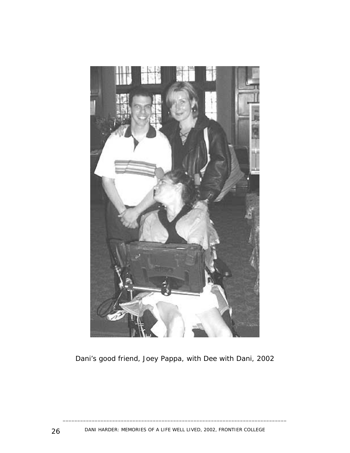

*Dani's good friend, Joey Pappa, with Dee with Dani, 2002*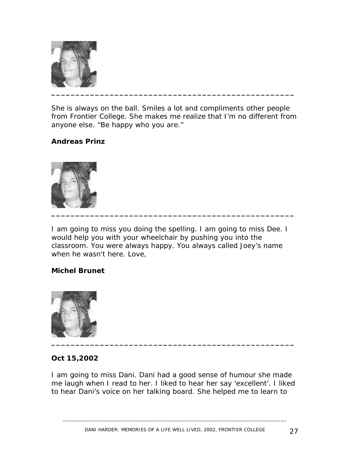

She is always on the ball. Smiles a lot and compliments other people from Frontier College. She makes me realize that I'm no different from anyone else. "Be happy who you are."

#### **Andreas Prinz**



I am going to miss you doing the spelling. I am going to miss Dee. I would help you with your wheelchair by pushing you into the classroom. You were always happy. You always called Joey's name when he wasn't here. Love,

#### **Michel Brunet**



#### **Oct 15,2002**

I am going to miss Dani. Dani had a good sense of humour she made me laugh when I read to her. I liked to hear her say 'excellent'. I liked to hear Dani's voice on her talking board. She helped me to learn to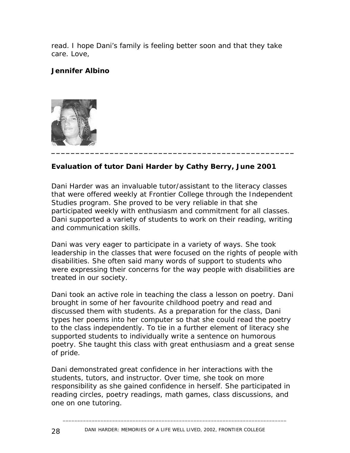read. I hope Dani's family is feeling better soon and that they take care. Love,

## **Jennifer Albino**



# **Evaluation of tutor Dani Harder by Cathy Berry, June 2001**

Dani Harder was an invaluable tutor/assistant to the literacy classes that were offered weekly at Frontier College through the Independent Studies program. She proved to be very reliable in that she participated weekly with enthusiasm and commitment for all classes. Dani supported a variety of students to work on their reading, writing and communication skills.

Dani was very eager to participate in a variety of ways. She took leadership in the classes that were focused on the rights of people with disabilities. She often said many words of support to students who were expressing their concerns for the way people with disabilities are treated in our society.

Dani took an active role in teaching the class a lesson on poetry. Dani brought in some of her favourite childhood poetry and read and discussed them with students. As a preparation for the class, Dani types her poems into her computer so that she could read the poetry to the class independently. To tie in a further element of literacy she supported students to individually write a sentence on humorous poetry. She taught this class with great enthusiasm and a great sense of pride.

Dani demonstrated great confidence in her interactions with the students, tutors, and instructor. Over time, she took on more responsibility as she gained confidence in herself. She participated in reading circles, poetry readings, math games, class discussions, and one on one tutoring.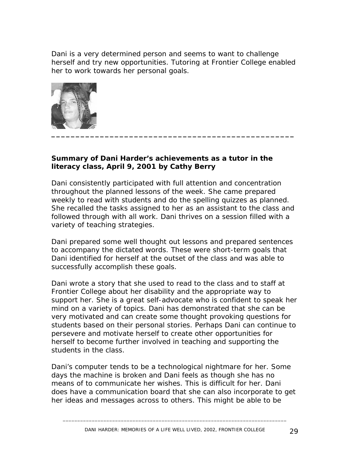Dani is a very determined person and seems to want to challenge herself and try new opportunities. Tutoring at Frontier College enabled her to work towards her personal goals.



#### **Summary of Dani Harder's achievements as a tutor in the literacy class, April 9, 2001 by Cathy Berry**

Dani consistently participated with full attention and concentration throughout the planned lessons of the week. She came prepared weekly to read with students and do the spelling quizzes as planned. She recalled the tasks assigned to her as an assistant to the class and followed through with all work. Dani thrives on a session filled with a variety of teaching strategies.

Dani prepared some well thought out lessons and prepared sentences to accompany the dictated words. These were short-term goals that Dani identified for herself at the outset of the class and was able to successfully accomplish these goals.

Dani wrote a story that she used to read to the class and to staff at Frontier College about her disability and the appropriate way to support her. She is a great self-advocate who is confident to speak her mind on a variety of topics. Dani has demonstrated that she can be very motivated and can create some thought provoking questions for students based on their personal stories. Perhaps Dani can continue to persevere and motivate herself to create other opportunities for herself to become further involved in teaching and supporting the students in the class.

Dani's computer tends to be a technological nightmare for her. Some days the machine is broken and Dani feels as though she has no means of to communicate her wishes. This is difficult for her. Dani does have a communication board that she can also incorporate to get her ideas and messages across to others. This might be able to be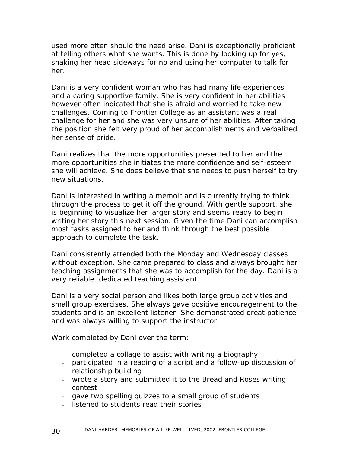used more often should the need arise. Dani is exceptionally proficient at telling others what she wants. This is done by looking up for yes, shaking her head sideways for no and using her computer to talk for her.

Dani is a very confident woman who has had many life experiences and a caring supportive family. She is very confident in her abilities however often indicated that she is afraid and worried to take new challenges. Coming to Frontier College as an assistant was a real challenge for her and she was very unsure of her abilities. After taking the position she felt very proud of her accomplishments and verbalized her sense of pride.

Dani realizes that the more opportunities presented to her and the more opportunities she initiates the more confidence and self-esteem she will achieve. She does believe that she needs to push herself to try new situations.

Dani is interested in writing a memoir and is currently trying to think through the process to get it off the ground. With gentle support, she is beginning to visualize her larger story and seems ready to begin writing her story this next session. Given the time Dani can accomplish most tasks assigned to her and think through the best possible approach to complete the task.

Dani consistently attended both the Monday and Wednesday classes without exception. She came prepared to class and always brought her teaching assignments that she was to accomplish for the day. Dani is a very reliable, dedicated teaching assistant.

Dani is a very social person and likes both large group activities and small group exercises. She always gave positive encouragement to the students and is an excellent listener. She demonstrated great patience and was always willing to support the instructor.

*Work completed by Dani over the term:* 

- completed a collage to assist with writing a biography
- participated in a reading of a script and a follow-up discussion of relationship building
- wrote a story and submitted it to the Bread and Roses writing contest
- gave two spelling quizzes to a small group of students
- listened to students read their stories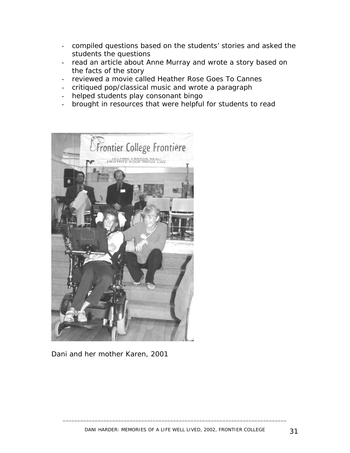- compiled questions based on the students' stories and asked the students the questions
- read an article about Anne Murray and wrote a story based on the facts of the story
- reviewed a movie called *Heather Rose Goes To Cannes*
- critiqued pop/classical music and wrote a paragraph
- helped students play consonant bingo
- brought in resources that were helpful for students to read



Dani and her mother Karen, 2001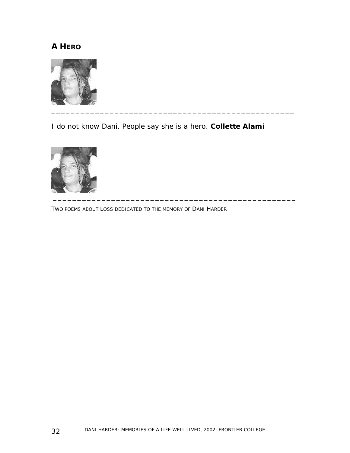# **A HERO**



I do not know Dani. People say she is a hero. **Collette Alami** 



TWO POEMS ABOUT LOSS DEDICATED TO THE MEMORY OF DANI HARDER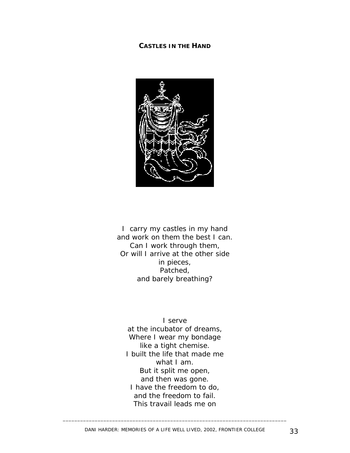#### **CASTLES IN THE HAND**



I carry my castles in my hand and work on them the best I can. Can I work through them, Or will I arrive at the other side in pieces, Patched, and barely breathing?

I serve at the incubator of dreams, Where I wear my bondage like a tight chemise. I built the life that made me what I am. But it split me open, and then was gone. I have the freedom to do, and the freedom to fail. This travail leads me on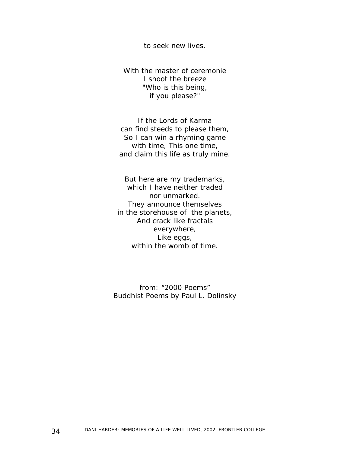to seek new lives.

With the master of ceremonie I shoot the breeze "Who is this being, if you please?"

If the Lords of Karma can find steeds to please them, So I can win a rhyming game with time, This one time, and claim this life as truly mine.

But here are my trademarks, which I have neither traded nor unmarked. They announce themselves in the storehouse of the planets, And crack like fractals everywhere, Like eggs, within the womb of time.

*from: "2000 Poems" Buddhist Poems by Paul L. Dolinsky*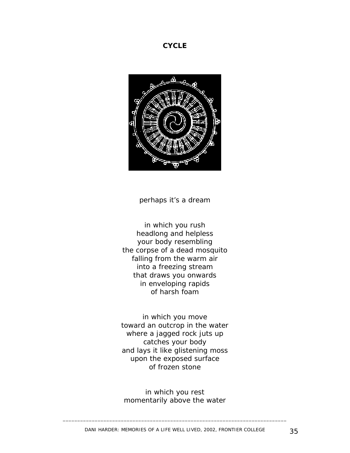#### **CYCLE**



perhaps it's a dream

in which you rush headlong and helpless your body resembling the corpse of a dead mosquito falling from the warm air into a freezing stream that draws you onwards in enveloping rapids of harsh foam

in which you move toward an outcrop in the water where a jagged rock juts up catches your body and lays it like glistening moss upon the exposed surface of frozen stone

in which you rest momentarily above the water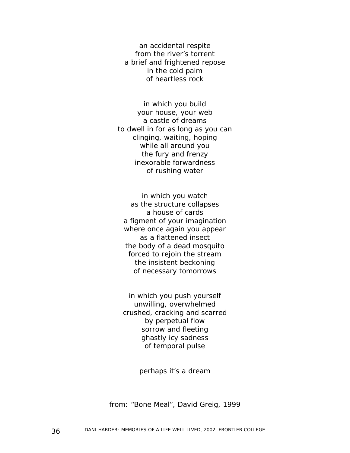an accidental respite from the river's torrent a brief and frightened repose in the cold palm of heartless rock

in which you build your house, your web a castle of dreams to dwell in for as long as you can clinging, waiting, hoping while all around you the fury and frenzy inexorable forwardness of rushing water

in which you watch as the structure collapses a house of cards a figment of your imagination where once again you appear as a flattened insect the body of a dead mosquito forced to rejoin the stream the insistent beckoning of necessary tomorrows

in which you push yourself unwilling, overwhelmed crushed, cracking and scarred by perpetual flow sorrow and fleeting ghastly icy sadness of temporal pulse

perhaps it's a dream

*from: "Bone Meal", David Greig, 1999*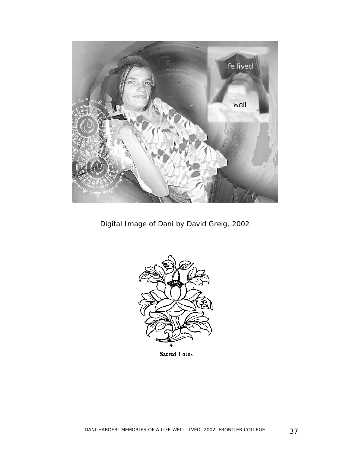

*Digital Image of Dani by David Greig, 2002* 



Sacred I otus